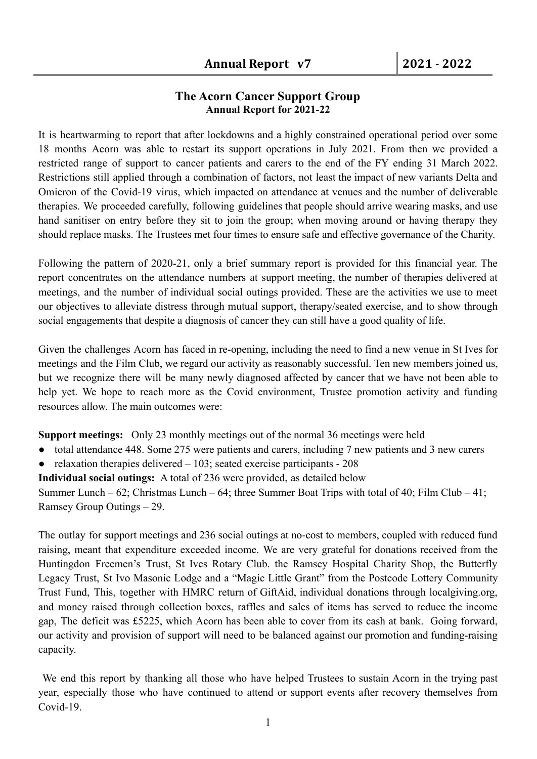## **The Acorn Cancer Support Group Annual Report for 2021-22**

It is heartwarming to report that after lockdowns and a highly constrained operational period over some 18 months Acorn was able to restart its support operations in July 2021. From then we provided a restricted range of support to cancer patients and carers to the end of the FY ending 31 March 2022. Restrictions still applied through a combination of factors, not least the impact of new variants Delta and Omicron of the Covid-19 virus, which impacted on attendance at venues and the number of deliverable therapies. We proceeded carefully, following guidelines that people should arrive wearing masks, and use hand sanitiser on entry before they sit to join the group; when moving around or having therapy they should replace masks. The Trustees met four times to ensure safe and effective governance of the Charity.

Following the pattern of 2020-21, only a brief summary report is provided for this financial year. The report concentrates on the attendance numbers at support meeting, the number of therapies delivered at meetings, and the number of individual social outings provided. These are the activities we use to meet our objectives to alleviate distress through mutual support, therapy/seated exercise, and to show through social engagements that despite a diagnosis of cancer they can still have a good quality of life.

Given the challenges Acorn has faced in re-opening, including the need to find a new venue in St Ives for meetings and the Film Club, we regard our activity as reasonably successful. Ten new members joined us, but we recognize there will be many newly diagnosed affected by cancer that we have not been able to help yet. We hope to reach more as the Covid environment, Trustee promotion activity and funding resources allow. The main outcomes were:

**Support meetings:** Only 23 monthly meetings out of the normal 36 meetings were held

- total attendance 448. Some 275 were patients and carers, including 7 new patients and 3 new carers
- relaxation therapies delivered  $-103$ ; seated exercise participants 208

**Individual social outings:** A total of 236 were provided, as detailed below

Summer Lunch – 62; Christmas Lunch – 64; three Summer Boat Trips with total of 40; Film Club – 41; Ramsey Group Outings – 29.

The outlay for support meetings and 236 social outings at no-cost to members, coupled with reduced fund raising, meant that expenditure exceeded income. We are very grateful for donations received from the Huntingdon Freemen's Trust, St Ives Rotary Club. the Ramsey Hospital Charity Shop, the Butterfly Legacy Trust, St Ivo Masonic Lodge and a "Magic Little Grant" from the Postcode Lottery Community Trust Fund, This, together with HMRC return of GiftAid, individual donations through localgiving.org, and money raised through collection boxes, raffles and sales of items has served to reduce the income gap, The deficit was £5225, which Acorn has been able to cover from its cash at bank. Going forward, our activity and provision of support will need to be balanced against our promotion and funding-raising capacity.

We end this report by thanking all those who have helped Trustees to sustain Acorn in the trying past year, especially those who have continued to attend or support events after recovery themselves from Covid-19.